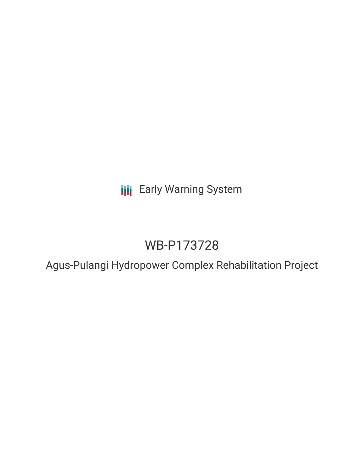**III** Early Warning System

# WB-P173728

Agus-Pulangi Hydropower Complex Rehabilitation Project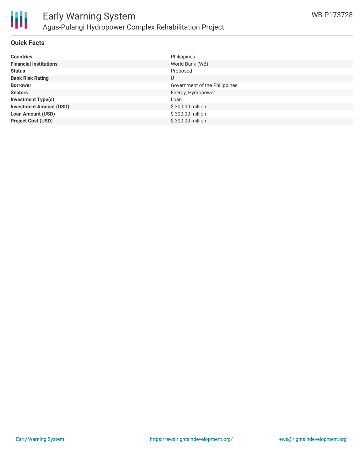

#### **Quick Facts**

| <b>Countries</b>               | Philippines                   |
|--------------------------------|-------------------------------|
| <b>Financial Institutions</b>  | World Bank (WB)               |
| <b>Status</b>                  | Proposed                      |
| <b>Bank Risk Rating</b>        | U                             |
| <b>Borrower</b>                | Government of the Philippines |
| <b>Sectors</b>                 | Energy, Hydropower            |
| <b>Investment Type(s)</b>      | Loan                          |
| <b>Investment Amount (USD)</b> | \$300.00 million              |
| <b>Loan Amount (USD)</b>       | \$300.00 million              |
| <b>Project Cost (USD)</b>      | \$300,00 million              |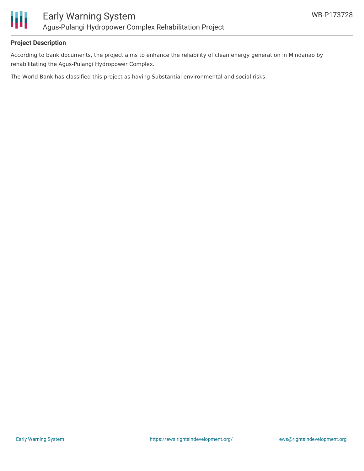

#### **Project Description**

According to bank documents, the project aims to enhance the reliability of clean energy generation in Mindanao by rehabilitating the Agus-Pulangi Hydropower Complex.

The World Bank has classified this project as having Substantial environmental and social risks.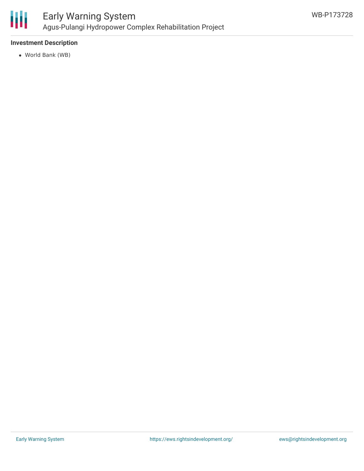

### **Investment Description**

World Bank (WB)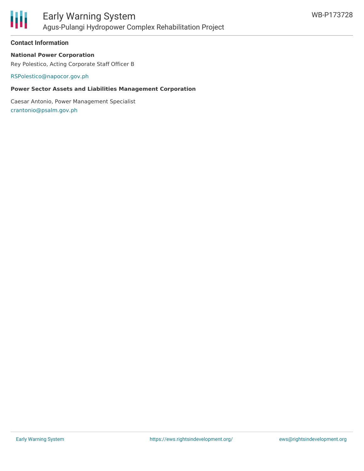

#### **Contact Information**

#### **National Power Corporation**

Rey Polestico, Acting Corporate Staff Officer B

[RSPolestico@napocor.gov.ph](mailto:RSPolestico@napocor.gov.ph)

#### **Power Sector Assets and Liabilities Management Corporation**

Caesar Antonio, Power Management Specialist [crantonio@psalm.gov.ph](mailto:crantonio@psalm.gov.ph)